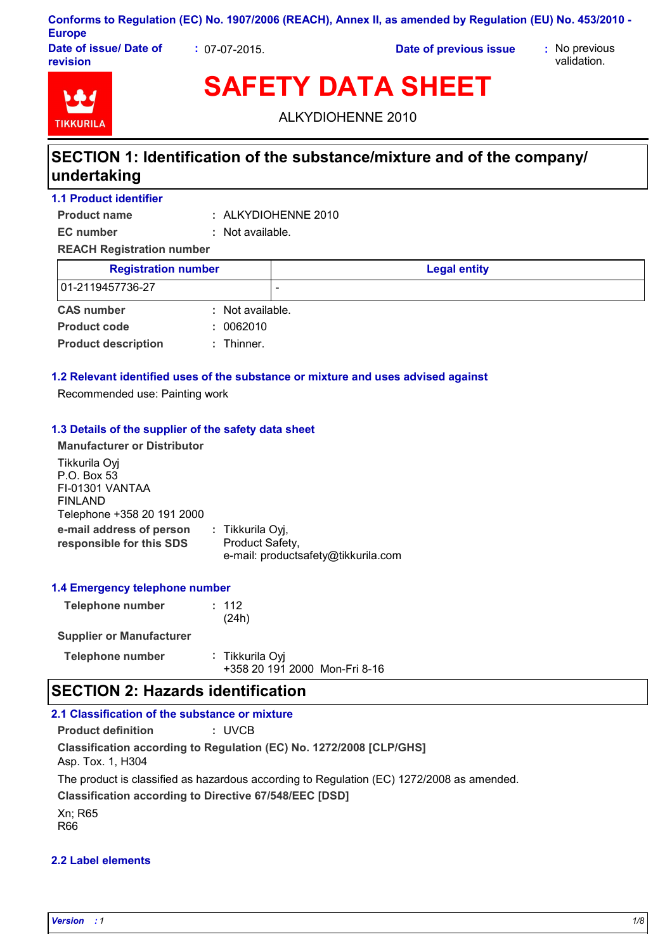| Conforms to Regulation (EC) No. 1907/2006 (REACH), Annex II, as amended by Regulation (EU) No. 453/2010 - |  |
|-----------------------------------------------------------------------------------------------------------|--|
| <b>Europe</b>                                                                                             |  |

**Date of issue/ Date of revision**

**:** 07-07-2015. **Date of previous issue :** No previous

validation.



**SAFETY DATA SHEET**

ALKYDIOHENNE 2010

# **SECTION 1: Identification of the substance/mixture and of the company/ undertaking**

**1.1 Product identifier**

**Product name**

ALKYDIOHENNE 2010 **: EC number :** Not available.

**REACH Registration number**

| <b>Registration number</b> |                  | <b>Legal entity</b> |
|----------------------------|------------------|---------------------|
| 01-2119457736-27           |                  |                     |
| <b>CAS number</b>          | : Not available. |                     |
| <b>Product code</b>        | : 0062010        |                     |
| <b>Product description</b> | $:$ Thinner.     |                     |

## **1.2 Relevant identified uses of the substance or mixture and uses advised against**

Recommended use: Painting work

### **1.3 Details of the supplier of the safety data sheet**

**Manufacturer or Distributor**

**e-mail address of person responsible for this SDS :** Tikkurila Oyj, Product Safety, e-mail: productsafety@tikkurila.com Tikkurila Oyj P.O. Box 53 FI-01301 VANTAA FINLAND Telephone +358 20 191 2000

### **1.4 Emergency telephone number**

| Telephone number |  |  |  | : 112 |       |  |
|------------------|--|--|--|-------|-------|--|
|                  |  |  |  |       | (24h) |  |
|                  |  |  |  |       |       |  |

### **Supplier or Manufacturer**

| Telephone number | : Tikkurila Oyj               |
|------------------|-------------------------------|
|                  | +358 20 191 2000 Mon-Fri 8-16 |

# **SECTION 2: Hazards identification**

## **2.1 Classification of the substance or mixture**

**Product definition :** UVCB

**Classification according to Regulation (EC) No. 1272/2008 [CLP/GHS]** Asp. Tox. 1, H304

The product is classified as hazardous according to Regulation (EC) 1272/2008 as amended.

**Classification according to Directive 67/548/EEC [DSD]**

Xn; R65 R66

## **2.2 Label elements**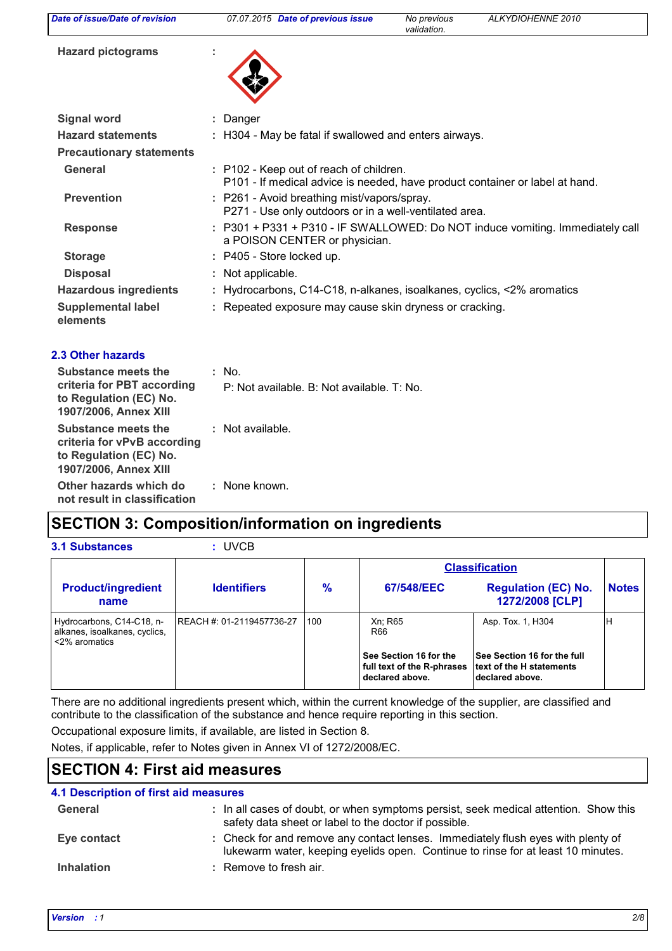| Date of issue/Date of revision                                                                               | 07.07.2015 Date of previous issue                                                                                       | No previous<br>validation. | ALKYDIOHENNE 2010 |
|--------------------------------------------------------------------------------------------------------------|-------------------------------------------------------------------------------------------------------------------------|----------------------------|-------------------|
| <b>Hazard pictograms</b>                                                                                     |                                                                                                                         |                            |                   |
| <b>Signal word</b>                                                                                           | : Danger                                                                                                                |                            |                   |
| <b>Hazard statements</b>                                                                                     | : H304 - May be fatal if swallowed and enters airways.                                                                  |                            |                   |
| <b>Precautionary statements</b>                                                                              |                                                                                                                         |                            |                   |
| <b>General</b>                                                                                               | : P102 - Keep out of reach of children.<br>P101 - If medical advice is needed, have product container or label at hand. |                            |                   |
| <b>Prevention</b>                                                                                            | : P261 - Avoid breathing mist/vapors/spray.<br>P271 - Use only outdoors or in a well-ventilated area.                   |                            |                   |
| <b>Response</b>                                                                                              | : P301 + P331 + P310 - IF SWALLOWED: Do NOT induce vomiting. Immediately call<br>a POISON CENTER or physician.          |                            |                   |
| <b>Storage</b>                                                                                               | : P405 - Store locked up.                                                                                               |                            |                   |
| <b>Disposal</b>                                                                                              | : Not applicable.                                                                                                       |                            |                   |
| <b>Hazardous ingredients</b>                                                                                 | Hydrocarbons, C14-C18, n-alkanes, isoalkanes, cyclics, <2% aromatics                                                    |                            |                   |
| <b>Supplemental label</b><br>elements                                                                        | : Repeated exposure may cause skin dryness or cracking.                                                                 |                            |                   |
| <b>2.3 Other hazards</b>                                                                                     |                                                                                                                         |                            |                   |
| Substance meets the                                                                                          | $:$ No.                                                                                                                 |                            |                   |
| criteria for PBT according<br>to Regulation (EC) No.<br>1907/2006, Annex XIII                                | P: Not available, B: Not available, T: No.                                                                              |                            |                   |
| <b>Substance meets the</b><br>criteria for vPvB according<br>to Regulation (EC) No.<br>1907/2006, Annex XIII | : Not available.                                                                                                        |                            |                   |

**Other hazards which do : not result in classification** : None known.

# **SECTION 3: Composition/information on ingredients**

| <b>3.1 Substances</b>                                                       | : UVCB                     |               |                                                                         |                                                                            |              |
|-----------------------------------------------------------------------------|----------------------------|---------------|-------------------------------------------------------------------------|----------------------------------------------------------------------------|--------------|
|                                                                             |                            |               |                                                                         | <b>Classification</b>                                                      |              |
| <b>Product/ingredient</b><br>name                                           | <b>Identifiers</b>         | $\frac{9}{6}$ | 67/548/EEC                                                              | <b>Regulation (EC) No.</b><br>1272/2008 [CLP]                              | <b>Notes</b> |
| Hydrocarbons, C14-C18, n-<br>alkanes, isoalkanes, cyclics,<br><2% aromatics | IREACH #: 01-2119457736-27 | 100           | Xn; R65<br>R66                                                          | Asp. Tox. 1, H304                                                          | н            |
|                                                                             |                            |               | See Section 16 for the<br>full text of the R-phrases<br>declared above. | See Section 16 for the full<br>text of the H statements<br>declared above. |              |

There are no additional ingredients present which, within the current knowledge of the supplier, are classified and contribute to the classification of the substance and hence require reporting in this section.

Occupational exposure limits, if available, are listed in Section 8.

Notes, if applicable, refer to Notes given in Annex VI of 1272/2008/EC.

# **SECTION 4: First aid measures**

### Check for and remove any contact lenses. Immediately flush eyes with plenty of **:** lukewarm water, keeping eyelids open. Continue to rinse for at least 10 minutes. **4.1 Description of first aid measures Inhalation Remove to fresh air. Eye contact General :** In all cases of doubt, or when symptoms persist, seek medical attention. Show this safety data sheet or label to the doctor if possible.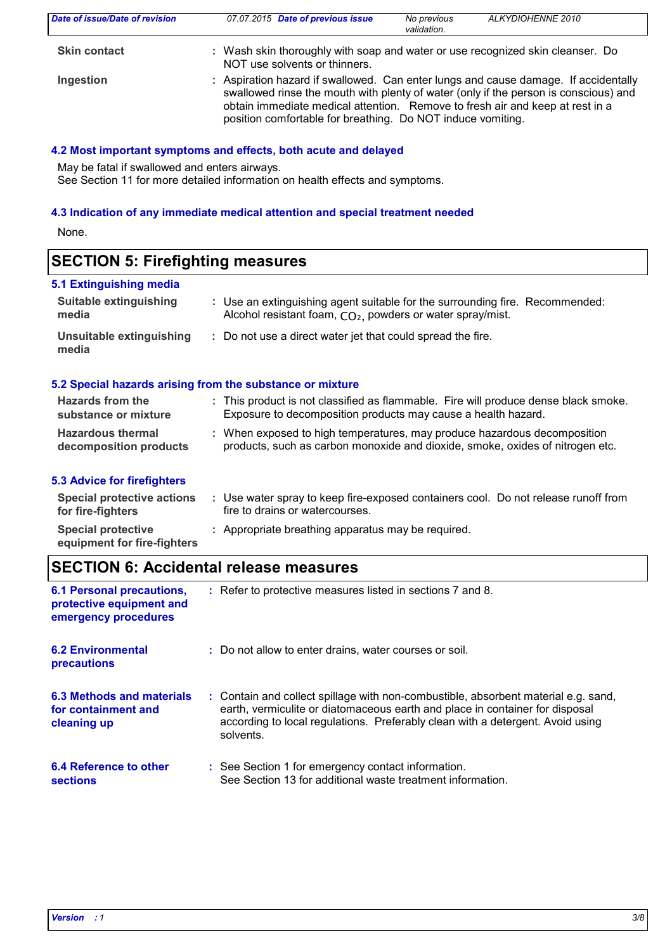| Date of issue/Date of revision | 07.07.2015 Date of previous issue                                                                                                                                                                                                                                                                                           | No previous<br>validation. | ALKYDIOHENNE 2010 |
|--------------------------------|-----------------------------------------------------------------------------------------------------------------------------------------------------------------------------------------------------------------------------------------------------------------------------------------------------------------------------|----------------------------|-------------------|
| <b>Skin contact</b>            | : Wash skin thoroughly with soap and water or use recognized skin cleanser. Do<br>NOT use solvents or thinners.                                                                                                                                                                                                             |                            |                   |
| Ingestion                      | : Aspiration hazard if swallowed. Can enter lungs and cause damage. If accidentally<br>swallowed rinse the mouth with plenty of water (only if the person is conscious) and<br>obtain immediate medical attention. Remove to fresh air and keep at rest in a<br>position comfortable for breathing. Do NOT induce vomiting. |                            |                   |

#### **4.2 Most important symptoms and effects, both acute and delayed**

May be fatal if swallowed and enters airways. See Section 11 for more detailed information on health effects and symptoms.

#### **4.3 Indication of any immediate medical attention and special treatment needed**

None.

| <b>SECTION 5: Firefighting measures</b> |  |
|-----------------------------------------|--|
| 5.1 Extinguishing media                 |  |

| Suitable extinguishing            | : Use an extinguishing agent suitable for the surrounding fire. Recommended:        |
|-----------------------------------|-------------------------------------------------------------------------------------|
| media                             | Alcohol resistant foam, CO <sub>2</sub> , powders or water spray/mist.              |
| Unsuitable extinguishing<br>media | : Do not use a direct water jet that could spread the fire.                         |
|                                   | 5.2 Special hazards arising from the substance or mixture                           |
| Hazards from the                  | : This product is not classified as flammable. Fire will produce dense black smoke. |
| substance or mixture              | Exposure to decomposition products may cause a health hazard.                       |
| <b>Hazardous thermal</b>          | : When exposed to high temperatures, may produce hazardous decomposition            |
| decomposition products            | products, such as carbon monoxide and dioxide, smoke, oxides of nitrogen etc.       |

## **5.3 Advice for firefighters**

| Special protective actions<br>for fire-fighters          | Use water spray to keep fire-exposed containers cool. Do not release runoff from<br>fire to drains or watercourses. |
|----------------------------------------------------------|---------------------------------------------------------------------------------------------------------------------|
| <b>Special protective</b><br>equipment for fire-fighters | : Appropriate breathing apparatus may be required.                                                                  |

# **SECTION 6: Accidental release measures**

| <b>6.1 Personal precautions,</b><br>protective equipment and<br>emergency procedures | : Refer to protective measures listed in sections 7 and 8.                                                                                                                                                                                                        |
|--------------------------------------------------------------------------------------|-------------------------------------------------------------------------------------------------------------------------------------------------------------------------------------------------------------------------------------------------------------------|
| <b>6.2 Environmental</b><br>precautions                                              | : Do not allow to enter drains, water courses or soil.                                                                                                                                                                                                            |
| 6.3 Methods and materials<br>for containment and<br>cleaning up                      | : Contain and collect spillage with non-combustible, absorbent material e.g. sand,<br>earth, vermiculite or diatomaceous earth and place in container for disposal<br>according to local regulations. Preferably clean with a detergent. Avoid using<br>solvents. |
| 6.4 Reference to other<br><b>sections</b>                                            | : See Section 1 for emergency contact information.<br>See Section 13 for additional waste treatment information.                                                                                                                                                  |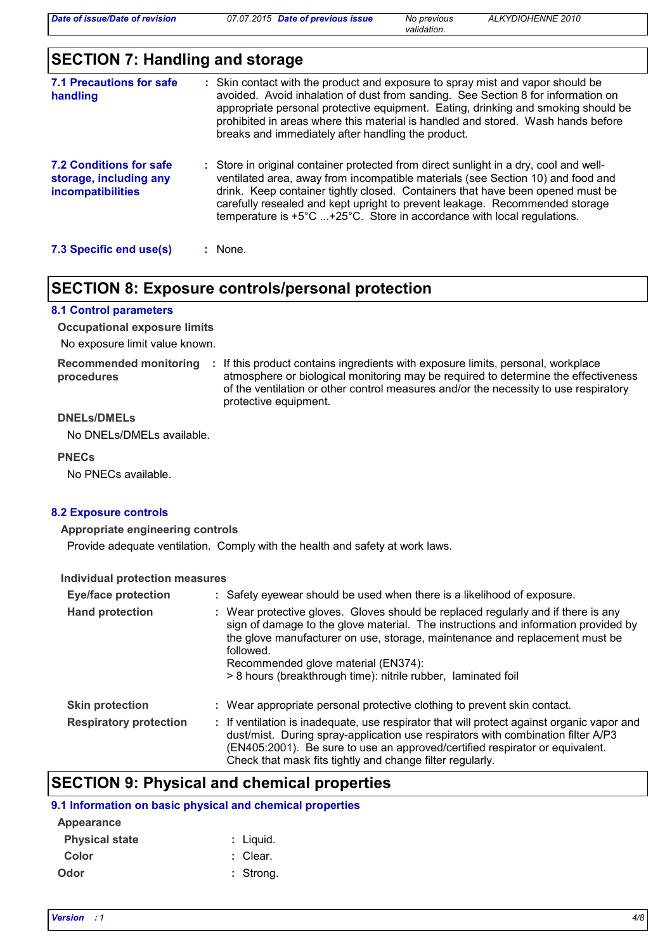*validation.*

# **SECTION 7: Handling and storage**

| 7.1 Precautions for safe<br>handling                                          | : Skin contact with the product and exposure to spray mist and vapor should be<br>avoided. Avoid inhalation of dust from sanding. See Section 8 for information on<br>appropriate personal protective equipment. Eating, drinking and smoking should be<br>prohibited in areas where this material is handled and stored. Wash hands before<br>breaks and immediately after handling the product.                             |  |
|-------------------------------------------------------------------------------|-------------------------------------------------------------------------------------------------------------------------------------------------------------------------------------------------------------------------------------------------------------------------------------------------------------------------------------------------------------------------------------------------------------------------------|--|
| <b>7.2 Conditions for safe</b><br>storage, including any<br>incompatibilities | : Store in original container protected from direct sunlight in a dry, cool and well-<br>ventilated area, away from incompatible materials (see Section 10) and food and<br>drink. Keep container tightly closed. Containers that have been opened must be<br>carefully resealed and kept upright to prevent leakage. Recommended storage<br>temperature is $+5^{\circ}$ C +25°C. Store in accordance with local regulations. |  |
| 7.3 Specific end use(s)                                                       | : None.                                                                                                                                                                                                                                                                                                                                                                                                                       |  |

## **SECTION 8: Exposure controls/personal protection**

#### **8.1 Control parameters**

**Occupational exposure limits**

No exposure limit value known.

**procedures**

Recommended monitoring : If this product contains ingredients with exposure limits, personal, workplace atmosphere or biological monitoring may be required to determine the effectiveness of the ventilation or other control measures and/or the necessity to use respiratory protective equipment.

## **DNELs/DMELs**

No DNELs/DMELs available.

#### **PNECs**

No PNECs available.

#### **8.2 Exposure controls**

#### **Appropriate engineering controls**

Provide adequate ventilation. Comply with the health and safety at work laws.

#### **Individual protection measures**

| <b>Eye/face protection</b>    | : Safety eyewear should be used when there is a likelihood of exposure.                                                                                                                                                                                                                                                                                                     |  |  |
|-------------------------------|-----------------------------------------------------------------------------------------------------------------------------------------------------------------------------------------------------------------------------------------------------------------------------------------------------------------------------------------------------------------------------|--|--|
| <b>Hand protection</b>        | : Wear protective gloves. Gloves should be replaced regularly and if there is any<br>sign of damage to the glove material. The instructions and information provided by<br>the glove manufacturer on use, storage, maintenance and replacement must be<br>followed.<br>Recommended glove material (EN374):<br>> 8 hours (breakthrough time): nitrile rubber, laminated foil |  |  |
| <b>Skin protection</b>        | : Wear appropriate personal protective clothing to prevent skin contact.                                                                                                                                                                                                                                                                                                    |  |  |
| <b>Respiratory protection</b> | : If ventilation is inadequate, use respirator that will protect against organic vapor and<br>dust/mist. During spray-application use respirators with combination filter A/P3<br>(EN405:2001). Be sure to use an approved/certified respirator or equivalent.<br>Check that mask fits tightly and change filter regularly.                                                 |  |  |

## **SECTION 9: Physical and chemical properties**

#### **9.1 Information on basic physical and chemical properties**

| Appearance            |             |
|-----------------------|-------------|
| <b>Physical state</b> | : Liguid.   |
| Color                 | : Clear.    |
| Odor                  | $:$ Strong. |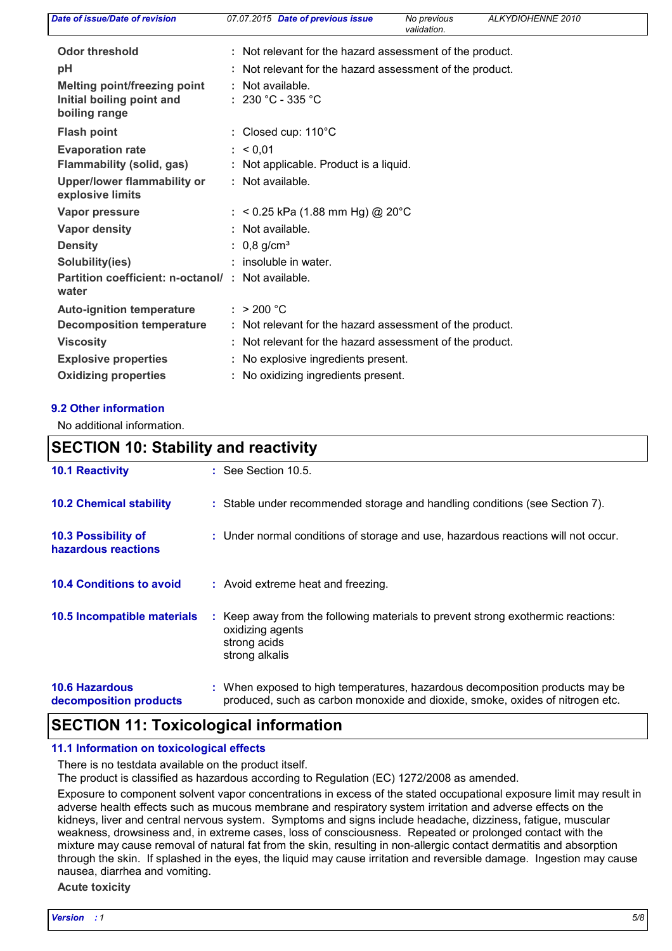| Date of issue/Date of revision                             | 07.07.2015 Date of previous issue<br>ALKYDIOHENNE 2010<br>No previous<br>validation. |
|------------------------------------------------------------|--------------------------------------------------------------------------------------|
| <b>Odor threshold</b>                                      | : Not relevant for the hazard assessment of the product.                             |
| pH                                                         | : Not relevant for the hazard assessment of the product.                             |
| <b>Melting point/freezing point</b>                        | : Not available.                                                                     |
| Initial boiling point and<br>boiling range                 | : 230 °C - 335 °C                                                                    |
| <b>Flash point</b>                                         | : Closed cup: 110°C                                                                  |
| <b>Evaporation rate</b>                                    | : 60.01                                                                              |
| <b>Flammability (solid, gas)</b>                           | : Not applicable. Product is a liquid.                                               |
| Upper/lower flammability or<br>explosive limits            | : Not available.                                                                     |
| Vapor pressure                                             | : < 0.25 kPa (1.88 mm Hg) @ 20°C                                                     |
| <b>Vapor density</b>                                       | : Not available.                                                                     |
| <b>Density</b>                                             | : $0,8$ g/cm <sup>3</sup>                                                            |
| Solubility(ies)                                            | : insoluble in water.                                                                |
| Partition coefficient: n-octanol/: Not available.<br>water |                                                                                      |
| <b>Auto-ignition temperature</b>                           | : $> 200 °C$                                                                         |
| <b>Decomposition temperature</b>                           | : Not relevant for the hazard assessment of the product.                             |
| <b>Viscosity</b>                                           | : Not relevant for the hazard assessment of the product.                             |
| <b>Explosive properties</b>                                | : No explosive ingredients present.                                                  |
| <b>Oxidizing properties</b>                                | : No oxidizing ingredients present.                                                  |

### **9.2 Other information**

No additional information.

## **10.6 Hazardous decomposition products 10.4 Conditions to avoid :** Avoid extreme heat and freezing. When exposed to high temperatures, hazardous decomposition products may be **:** produced, such as carbon monoxide and dioxide, smoke, oxides of nitrogen etc. **10.2 Chemical stability** : Stable under recommended storage and handling conditions (see Section 7).  $\therefore$  Keep away from the following materials to prevent strong exothermic reactions: oxidizing agents strong acids strong alkalis **10.5 Incompatible materials : 10.3 Possibility of hazardous reactions :** Under normal conditions of storage and use, hazardous reactions will not occur. **SECTION 10: Stability and reactivity 10.1 Reactivity :** See Section 10.5.

# **SECTION 11: Toxicological information**

### **11.1 Information on toxicological effects**

There is no testdata available on the product itself.

The product is classified as hazardous according to Regulation (EC) 1272/2008 as amended.

Exposure to component solvent vapor concentrations in excess of the stated occupational exposure limit may result in adverse health effects such as mucous membrane and respiratory system irritation and adverse effects on the kidneys, liver and central nervous system. Symptoms and signs include headache, dizziness, fatigue, muscular weakness, drowsiness and, in extreme cases, loss of consciousness. Repeated or prolonged contact with the mixture may cause removal of natural fat from the skin, resulting in non-allergic contact dermatitis and absorption through the skin. If splashed in the eyes, the liquid may cause irritation and reversible damage. Ingestion may cause nausea, diarrhea and vomiting.

#### **Acute toxicity**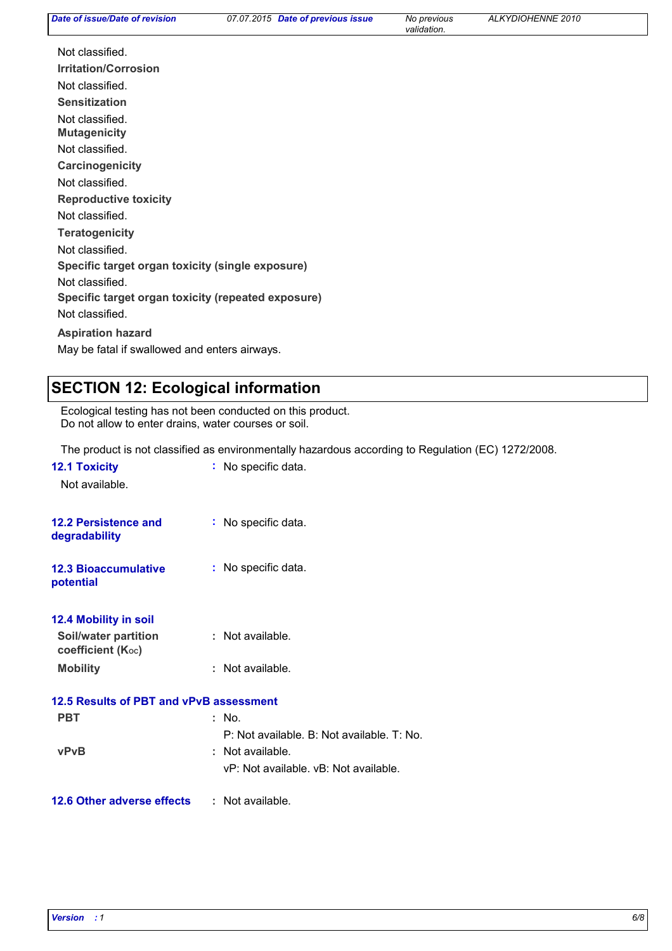| Date of issue/Date of revision                     | 07.07.2015 Date of previous issue | No previous<br>validation. | ALKYDIOHENNE 2010 |
|----------------------------------------------------|-----------------------------------|----------------------------|-------------------|
| Not classified.                                    |                                   |                            |                   |
| <b>Irritation/Corrosion</b>                        |                                   |                            |                   |
| Not classified.                                    |                                   |                            |                   |
| <b>Sensitization</b>                               |                                   |                            |                   |
| Not classified.<br><b>Mutagenicity</b>             |                                   |                            |                   |
| Not classified.                                    |                                   |                            |                   |
| Carcinogenicity                                    |                                   |                            |                   |
| Not classified.                                    |                                   |                            |                   |
| <b>Reproductive toxicity</b>                       |                                   |                            |                   |
| Not classified.                                    |                                   |                            |                   |
| <b>Teratogenicity</b>                              |                                   |                            |                   |
| Not classified.                                    |                                   |                            |                   |
| Specific target organ toxicity (single exposure)   |                                   |                            |                   |
| Not classified.                                    |                                   |                            |                   |
| Specific target organ toxicity (repeated exposure) |                                   |                            |                   |
| Not classified.                                    |                                   |                            |                   |
| <b>Aspiration hazard</b>                           |                                   |                            |                   |
|                                                    |                                   |                            |                   |

May be fatal if swallowed and enters airways.

# **SECTION 12: Ecological information**

Ecological testing has not been conducted on this product. Do not allow to enter drains, water courses or soil.

The product is not classified as environmentally hazardous according to Regulation (EC) 1272/2008.

| <b>12.1 Toxicity</b><br>Not available.           | : No specific data.                        |
|--------------------------------------------------|--------------------------------------------|
| <b>12.2 Persistence and</b><br>degradability     | : No specific data.                        |
| <b>12.3 Bioaccumulative</b><br>potential         | : No specific data.                        |
| 12.4 Mobility in soil                            |                                            |
| <b>Soil/water partition</b><br>coefficient (Koc) | : Not available.                           |
| <b>Mobility</b>                                  | : Not available.                           |
| 12.5 Results of PBT and vPvB assessment          |                                            |
| <b>PBT</b>                                       | : No.                                      |
|                                                  | P: Not available. B: Not available. T: No. |
| <b>vPvB</b>                                      | : Not available.                           |
|                                                  | vP: Not available, vB: Not available.      |
| <b>12.6 Other adverse effects</b>                | : Not available.                           |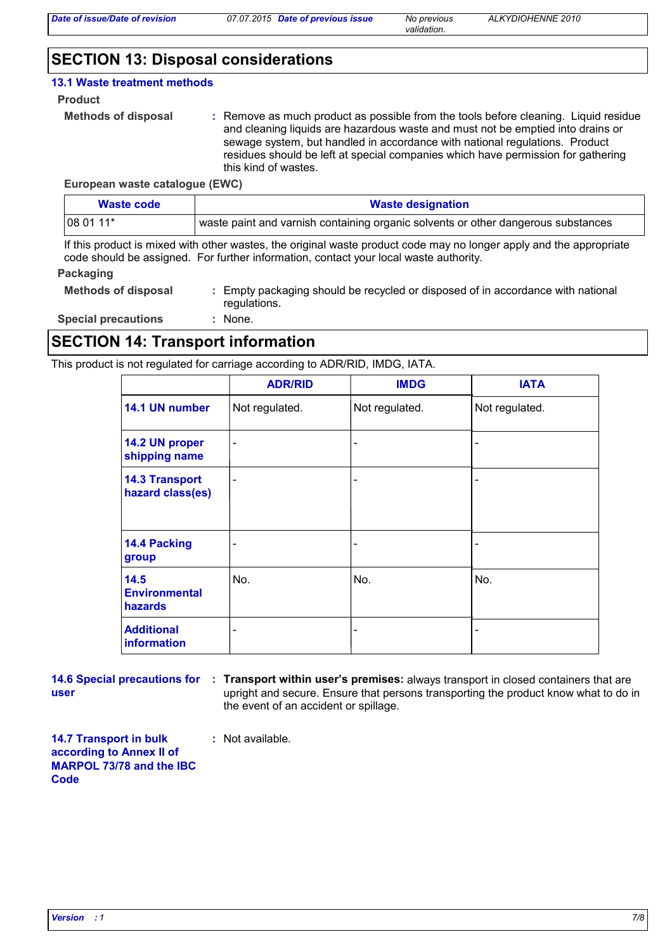*validation.*

# **SECTION 13: Disposal considerations**

#### **13.1 Waste treatment methods**

#### **Product**

```
Methods of disposal :
```
Remove as much product as possible from the tools before cleaning. Liquid residue and cleaning liquids are hazardous waste and must not be emptied into drains or sewage system, but handled in accordance with national regulations. Product residues should be left at special companies which have permission for gathering this kind of wastes.

#### **European waste catalogue (EWC)**

| Waste code | <b>Waste designation</b>                                                          |  |  |
|------------|-----------------------------------------------------------------------------------|--|--|
| $1080111*$ | waste paint and varnish containing organic solvents or other dangerous substances |  |  |

If this product is mixed with other wastes, the original waste product code may no longer apply and the appropriate code should be assigned. For further information, contact your local waste authority.

#### **Packaging**

| <b>Methods of disposal</b> | Empty packaging should be recycled or disposed of in accordance with national<br>regulations. |
|----------------------------|-----------------------------------------------------------------------------------------------|
| <b>Special precautions</b> | None.                                                                                         |

## **SECTION 14: Transport information**

This product is not regulated for carriage according to ADR/RID, IMDG, IATA.

|                                           | <b>ADR/RID</b>           | <b>IMDG</b>                  | <b>IATA</b>    |
|-------------------------------------------|--------------------------|------------------------------|----------------|
| 14.1 UN number                            | Not regulated.           | Not regulated.               | Not regulated. |
| 14.2 UN proper<br>shipping name           | $\overline{\phantom{0}}$ | -                            |                |
| <b>14.3 Transport</b><br>hazard class(es) | $\overline{\phantom{a}}$ | $\qquad \qquad \blacksquare$ |                |
| 14.4 Packing<br>group                     |                          | -                            |                |
| 14.5<br><b>Environmental</b><br>hazards   | No.                      | No.                          | No.            |
| <b>Additional</b><br>information          |                          | -                            |                |

**user**

**14.6 Special precautions for : Transport within user's premises: always transport in closed containers that are** upright and secure. Ensure that persons transporting the product know what to do in the event of an accident or spillage.

**14.7 Transport in bulk according to Annex II of MARPOL 73/78 and the IBC Code**

**:** Not available.